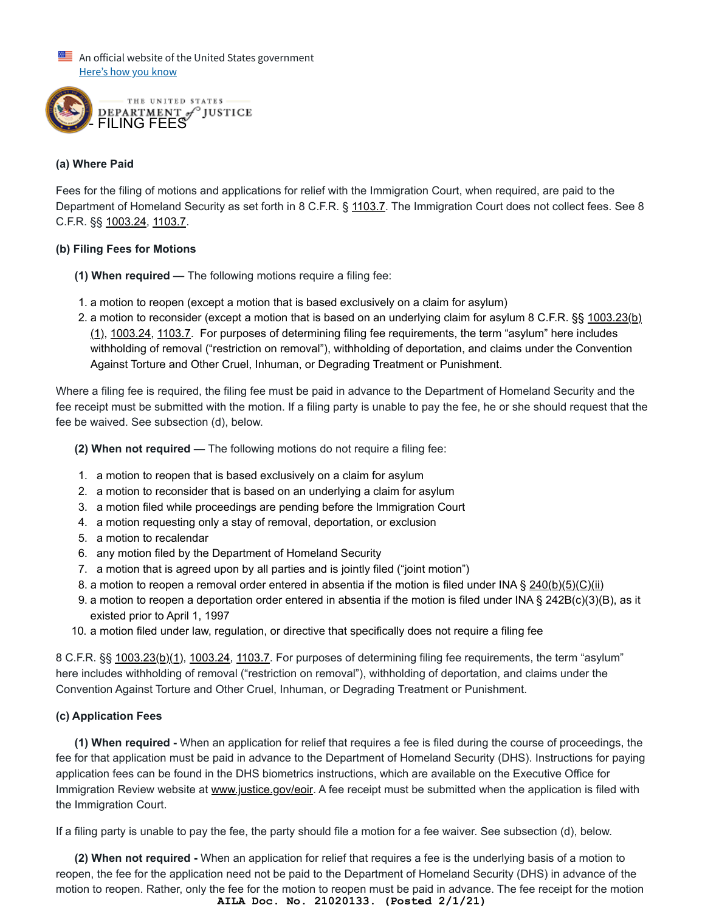$\equiv$  An official website of the United States government Here's how you know



#### **(a) Where Paid**

Fees for the filing of motions and applications for relief with the Immigration Court, when required, are paid to the Department of Homeland Security as set forth in 8 C.F.R. § [1103.7.](https://www.ecfr.gov/cgi-bin/text-idx?SID=7a7af7d5619cd1aa5d09ddba13267fc1&mc=true&node=se8.1.1103_17&rgn=div8) The Immigration Court does not collect fees. See 8 C.F.R. §§ [1003.24](https://www.ecfr.gov/cgi-bin/retrieveECFR?gp=&SID=acc63c1243f389a1c5813aeb713e1950&mc=true&n=pt8.1.1003&r=PART&ty=HTML#se8.1.1003_124), [1103.7.](https://www.ecfr.gov/cgi-bin/text-idx?SID=7a7af7d5619cd1aa5d09ddba13267fc1&mc=true&node=se8.1.1103_17&rgn=div8)

#### **(b) Filing Fees for Motions**

- **(1) When required** The following motions require a filing fee:
- 1. a motion to reopen (except a motion that is based exclusively on a claim for asylum)
- 2. [a motion to reconsider \(except a motion that is based on an underlying claim for asylum 8 C.F.R. §§ 1003.23\(b\)](https://www.ecfr.gov/cgi-bin/retrieveECFR?gp=&SID=acc63c1243f389a1c5813aeb713e1950&mc=true&n=pt8.1.1003&r=PART&ty=HTML#se8.1.1003_123) (1), [1003.24](https://www.ecfr.gov/cgi-bin/retrieveECFR?gp=&SID=acc63c1243f389a1c5813aeb713e1950&mc=true&n=pt8.1.1003&r=PART&ty=HTML#se8.1.1003_124), [1103.7.](https://www.ecfr.gov/cgi-bin/text-idx?SID=7a7af7d5619cd1aa5d09ddba13267fc1&mc=true&node=se8.1.1103_17&rgn=div8) For purposes of determining filing fee requirements, the term "asylum" here includes withholding of removal ("restriction on removal"), withholding of deportation, and claims under the Convention Against Torture and Other Cruel, Inhuman, or Degrading Treatment or Punishment.

Where a filing fee is required, the filing fee must be paid in advance to the Department of Homeland Security and the fee receipt must be submitted with the motion. If a filing party is unable to pay the fee, he or she should request that the fee be waived. See subsection (d), below.

- **(2) When not required** The following motions do not require a filing fee:
- 1. a motion to reopen that is based exclusively on a claim for asylum
- 2. a motion to reconsider that is based on an underlying a claim for asylum
- 3. a motion filed while proceedings are pending before the Immigration Court
- 4. a motion requesting only a stay of removal, deportation, or exclusion
- 5. a motion to recalendar
- 6. any motion filed by the Department of Homeland Security
- 7. a motion that is agreed upon by all parties and is jointly filed ("joint motion")
- 8. a motion to reopen a removal order entered in absentia if the motion is filed under INA § [240\(b\)\(5\)\(C\)\(ii\)](https://uscode.house.gov/view.xhtml?req=(title:8%20section:1229a%20edition:prelim)%20OR%20(granuleid:USC-prelim-title8-section1229a)&f=treesort&edition=prelim&num=0&jumpTo=true)
- 9. a motion to reopen a deportation order entered in absentia if the motion is filed under INA § 242B(c)(3)(B), as it existed prior to April 1, 1997
- 10. a motion filed under law, regulation, or directive that specifically does not require a filing fee

8 C.F.R. §§ [1003.23\(b\)\(1\)](https://www.ecfr.gov/cgi-bin/retrieveECFR?gp=&SID=acc63c1243f389a1c5813aeb713e1950&mc=true&n=pt8.1.1003&r=PART&ty=HTML#se8.1.1003_123), [1003.24,](https://www.ecfr.gov/cgi-bin/retrieveECFR?gp=&SID=acc63c1243f389a1c5813aeb713e1950&mc=true&n=pt8.1.1003&r=PART&ty=HTML#se8.1.1003_124) [1103.7.](https://www.ecfr.gov/cgi-bin/text-idx?SID=7a7af7d5619cd1aa5d09ddba13267fc1&mc=true&node=se8.1.1103_17&rgn=div8) For purposes of determining filing fee requirements, the term "asylum" here includes withholding of removal ("restriction on removal"), withholding of deportation, and claims under the Convention Against Torture and Other Cruel, Inhuman, or Degrading Treatment or Punishment.

# **(c) Application Fees**

**(1) When required -** When an application for relief that requires a fee is filed during the course of proceedings, the fee for that application must be paid in advance to the Department of Homeland Security (DHS). Instructions for paying application fees can be found in the DHS biometrics instructions, which are available on the Executive Office for Immigration Review website at [www.justice.gov/eoir.](https://www.justice.gov/eoir) A fee receipt must be submitted when the application is filed with the Immigration Court.

If a filing party is unable to pay the fee, the party should file a motion for a fee waiver. See subsection (d), below.

**(2) When not required -** When an application for relief that requires a fee is the underlying basis of a motion to reopen, the fee for the application need not be paid to the Department of Homeland Security (DHS) in advance of the motion to reopen. Rather, only the fee for the motion to reopen must be paid in advance. The fee receipt for the motion **AILA Doc. No. 21020133. (Posted 2/1/21)**